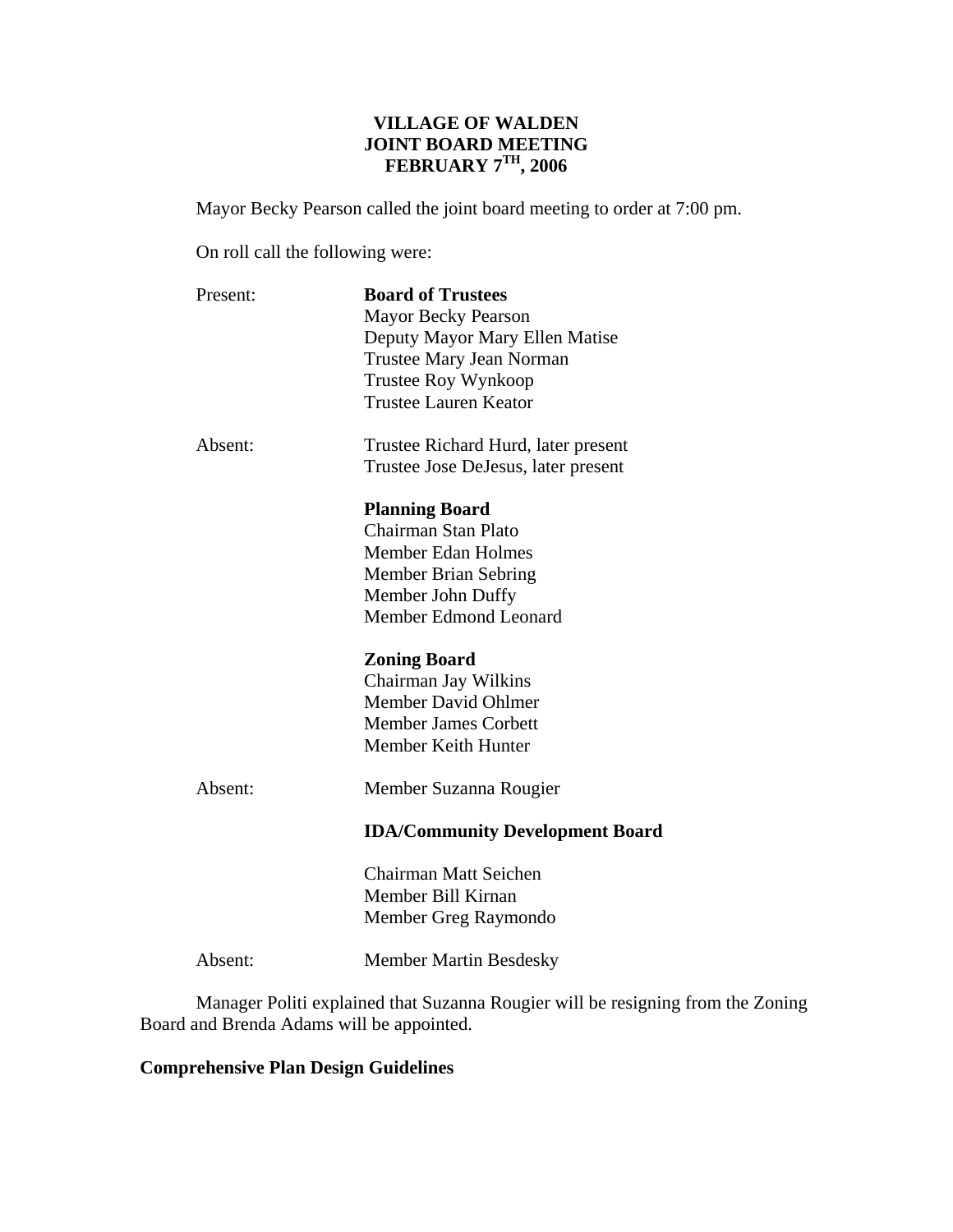## **VILLAGE OF WALDEN JOINT BOARD MEETING FEBRUARY 7TH, 2006**

Mayor Becky Pearson called the joint board meeting to order at 7:00 pm.

On roll call the following were:

| Present: | <b>Board of Trustees</b><br><b>Mayor Becky Pearson</b><br>Deputy Mayor Mary Ellen Matise<br>Trustee Mary Jean Norman<br>Trustee Roy Wynkoop<br><b>Trustee Lauren Keator</b> |
|----------|-----------------------------------------------------------------------------------------------------------------------------------------------------------------------------|
| Absent:  | Trustee Richard Hurd, later present<br>Trustee Jose DeJesus, later present                                                                                                  |
|          | <b>Planning Board</b><br>Chairman Stan Plato<br><b>Member Edan Holmes</b><br><b>Member Brian Sebring</b><br>Member John Duffy<br>Member Edmond Leonard                      |
|          | <b>Zoning Board</b><br>Chairman Jay Wilkins<br>Member David Ohlmer<br><b>Member James Corbett</b><br>Member Keith Hunter                                                    |
| Absent:  | Member Suzanna Rougier<br><b>IDA/Community Development Board</b>                                                                                                            |
|          | Chairman Matt Seichen<br>Member Bill Kirnan<br>Member Greg Raymondo                                                                                                         |

Absent: Member Martin Besdesky

 Manager Politi explained that Suzanna Rougier will be resigning from the Zoning Board and Brenda Adams will be appointed.

## **Comprehensive Plan Design Guidelines**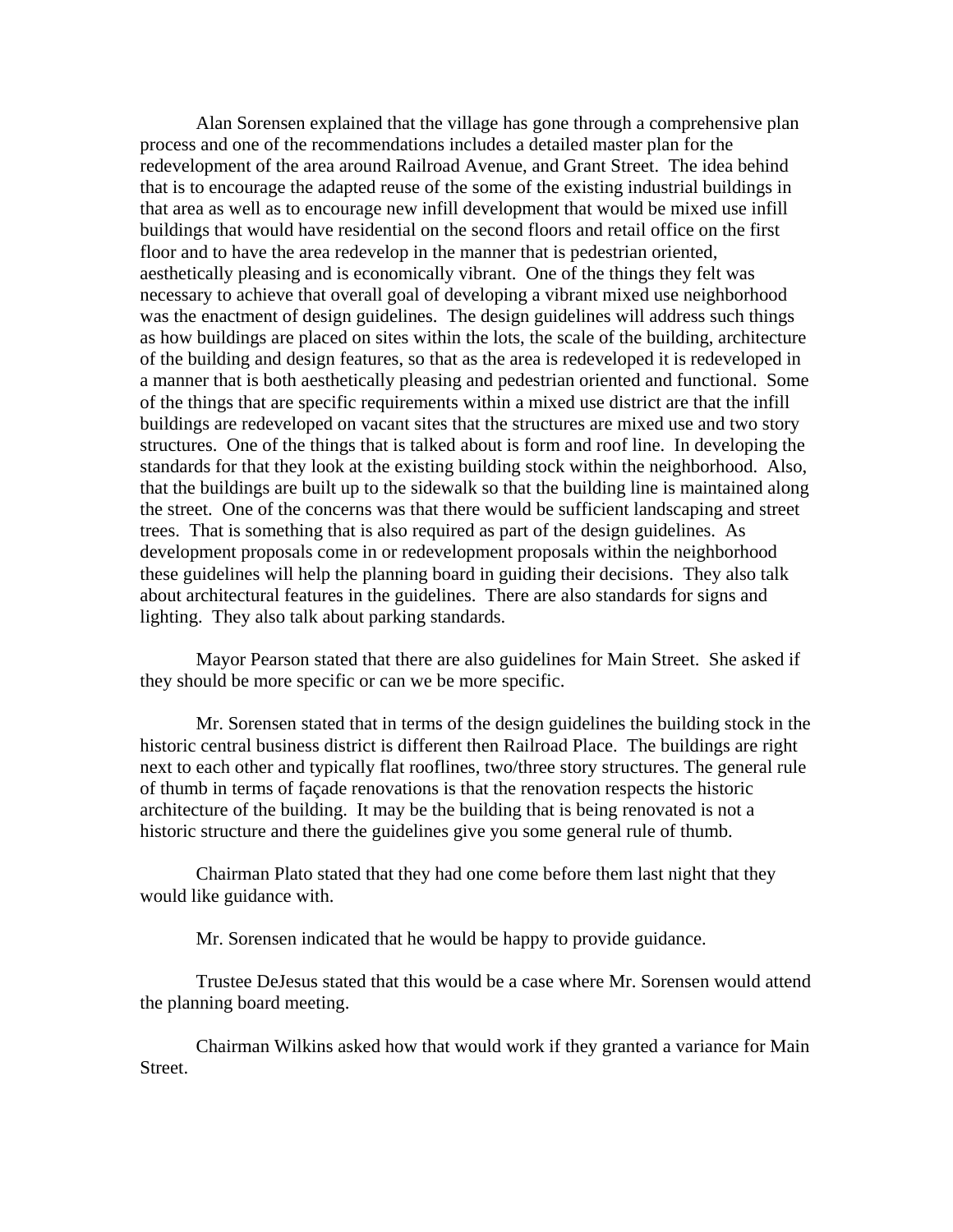Alan Sorensen explained that the village has gone through a comprehensive plan process and one of the recommendations includes a detailed master plan for the redevelopment of the area around Railroad Avenue, and Grant Street. The idea behind that is to encourage the adapted reuse of the some of the existing industrial buildings in that area as well as to encourage new infill development that would be mixed use infill buildings that would have residential on the second floors and retail office on the first floor and to have the area redevelop in the manner that is pedestrian oriented, aesthetically pleasing and is economically vibrant. One of the things they felt was necessary to achieve that overall goal of developing a vibrant mixed use neighborhood was the enactment of design guidelines. The design guidelines will address such things as how buildings are placed on sites within the lots, the scale of the building, architecture of the building and design features, so that as the area is redeveloped it is redeveloped in a manner that is both aesthetically pleasing and pedestrian oriented and functional. Some of the things that are specific requirements within a mixed use district are that the infill buildings are redeveloped on vacant sites that the structures are mixed use and two story structures. One of the things that is talked about is form and roof line. In developing the standards for that they look at the existing building stock within the neighborhood. Also, that the buildings are built up to the sidewalk so that the building line is maintained along the street. One of the concerns was that there would be sufficient landscaping and street trees. That is something that is also required as part of the design guidelines. As development proposals come in or redevelopment proposals within the neighborhood these guidelines will help the planning board in guiding their decisions. They also talk about architectural features in the guidelines. There are also standards for signs and lighting. They also talk about parking standards.

 Mayor Pearson stated that there are also guidelines for Main Street. She asked if they should be more specific or can we be more specific.

 Mr. Sorensen stated that in terms of the design guidelines the building stock in the historic central business district is different then Railroad Place. The buildings are right next to each other and typically flat rooflines, two/three story structures. The general rule of thumb in terms of façade renovations is that the renovation respects the historic architecture of the building. It may be the building that is being renovated is not a historic structure and there the guidelines give you some general rule of thumb.

 Chairman Plato stated that they had one come before them last night that they would like guidance with.

Mr. Sorensen indicated that he would be happy to provide guidance.

 Trustee DeJesus stated that this would be a case where Mr. Sorensen would attend the planning board meeting.

 Chairman Wilkins asked how that would work if they granted a variance for Main Street.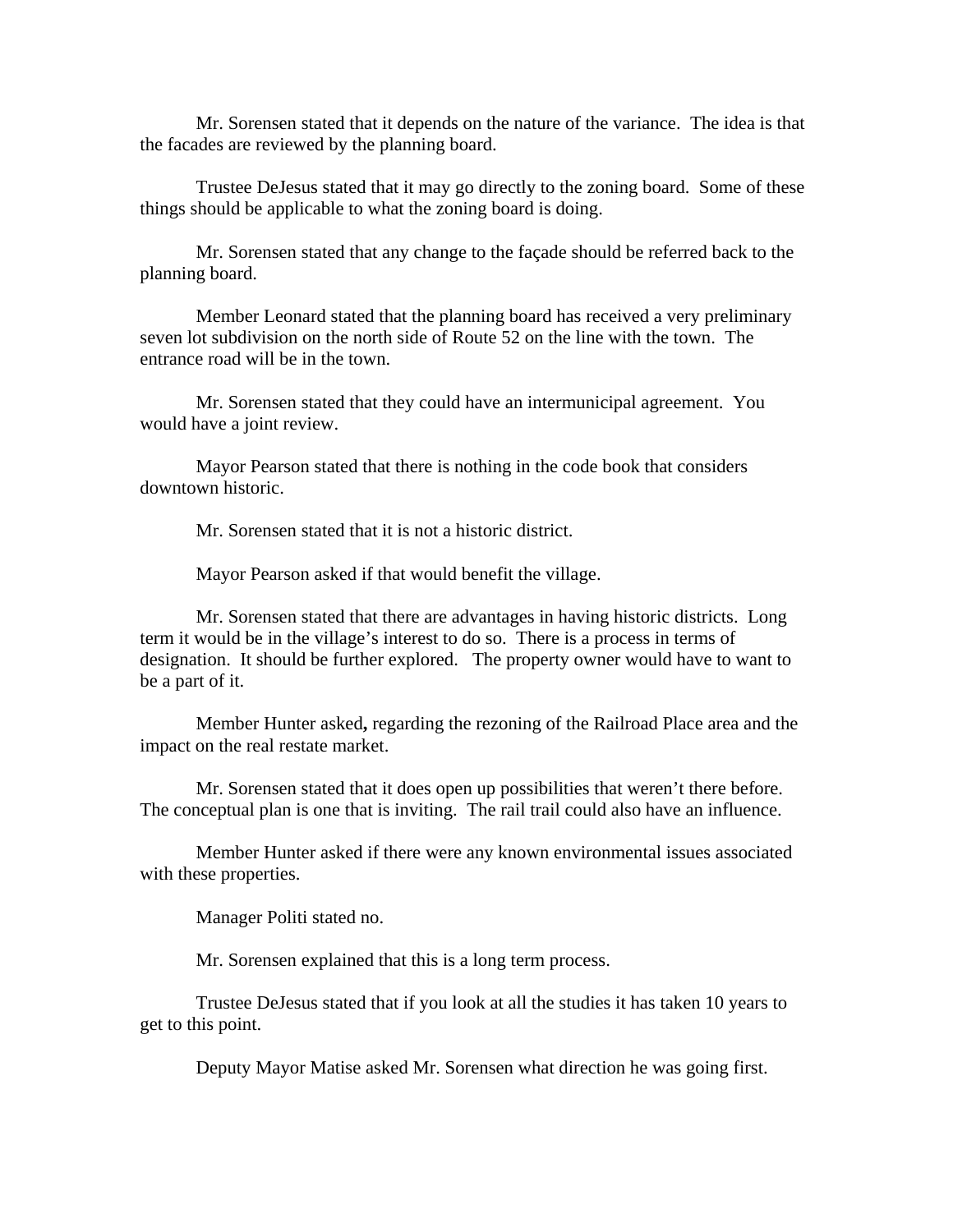Mr. Sorensen stated that it depends on the nature of the variance. The idea is that the facades are reviewed by the planning board.

 Trustee DeJesus stated that it may go directly to the zoning board. Some of these things should be applicable to what the zoning board is doing.

 Mr. Sorensen stated that any change to the façade should be referred back to the planning board.

 Member Leonard stated that the planning board has received a very preliminary seven lot subdivision on the north side of Route 52 on the line with the town. The entrance road will be in the town.

 Mr. Sorensen stated that they could have an intermunicipal agreement. You would have a joint review.

 Mayor Pearson stated that there is nothing in the code book that considers downtown historic.

Mr. Sorensen stated that it is not a historic district.

Mayor Pearson asked if that would benefit the village.

 Mr. Sorensen stated that there are advantages in having historic districts. Long term it would be in the village's interest to do so. There is a process in terms of designation. It should be further explored. The property owner would have to want to be a part of it.

Member Hunter asked**,** regarding the rezoning of the Railroad Place area and the impact on the real restate market.

 Mr. Sorensen stated that it does open up possibilities that weren't there before. The conceptual plan is one that is inviting. The rail trail could also have an influence.

 Member Hunter asked if there were any known environmental issues associated with these properties.

Manager Politi stated no.

Mr. Sorensen explained that this is a long term process.

 Trustee DeJesus stated that if you look at all the studies it has taken 10 years to get to this point.

Deputy Mayor Matise asked Mr. Sorensen what direction he was going first.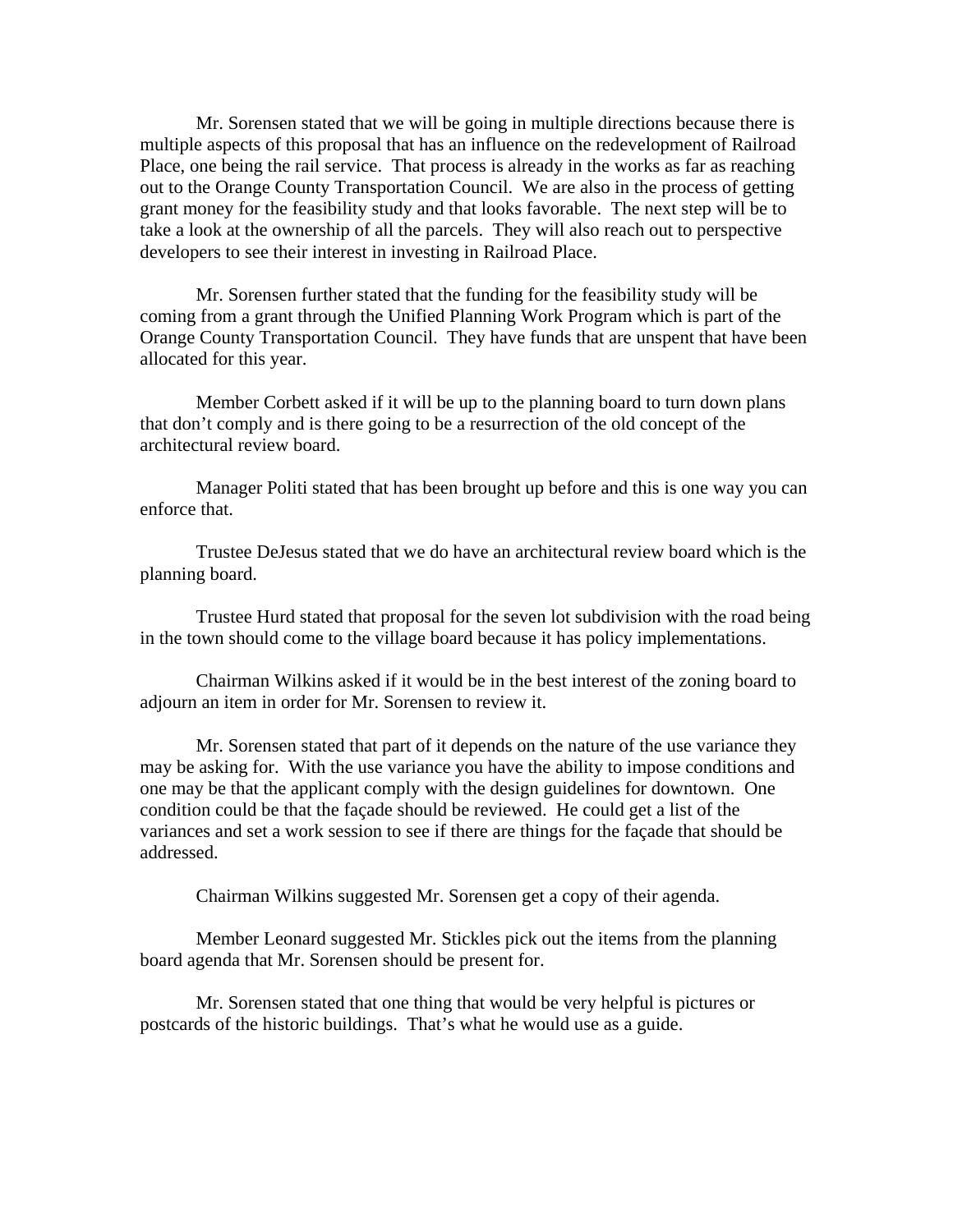Mr. Sorensen stated that we will be going in multiple directions because there is multiple aspects of this proposal that has an influence on the redevelopment of Railroad Place, one being the rail service. That process is already in the works as far as reaching out to the Orange County Transportation Council. We are also in the process of getting grant money for the feasibility study and that looks favorable. The next step will be to take a look at the ownership of all the parcels. They will also reach out to perspective developers to see their interest in investing in Railroad Place.

 Mr. Sorensen further stated that the funding for the feasibility study will be coming from a grant through the Unified Planning Work Program which is part of the Orange County Transportation Council. They have funds that are unspent that have been allocated for this year.

 Member Corbett asked if it will be up to the planning board to turn down plans that don't comply and is there going to be a resurrection of the old concept of the architectural review board.

 Manager Politi stated that has been brought up before and this is one way you can enforce that.

 Trustee DeJesus stated that we do have an architectural review board which is the planning board.

 Trustee Hurd stated that proposal for the seven lot subdivision with the road being in the town should come to the village board because it has policy implementations.

 Chairman Wilkins asked if it would be in the best interest of the zoning board to adjourn an item in order for Mr. Sorensen to review it.

 Mr. Sorensen stated that part of it depends on the nature of the use variance they may be asking for. With the use variance you have the ability to impose conditions and one may be that the applicant comply with the design guidelines for downtown. One condition could be that the façade should be reviewed. He could get a list of the variances and set a work session to see if there are things for the façade that should be addressed.

Chairman Wilkins suggested Mr. Sorensen get a copy of their agenda.

 Member Leonard suggested Mr. Stickles pick out the items from the planning board agenda that Mr. Sorensen should be present for.

 Mr. Sorensen stated that one thing that would be very helpful is pictures or postcards of the historic buildings. That's what he would use as a guide.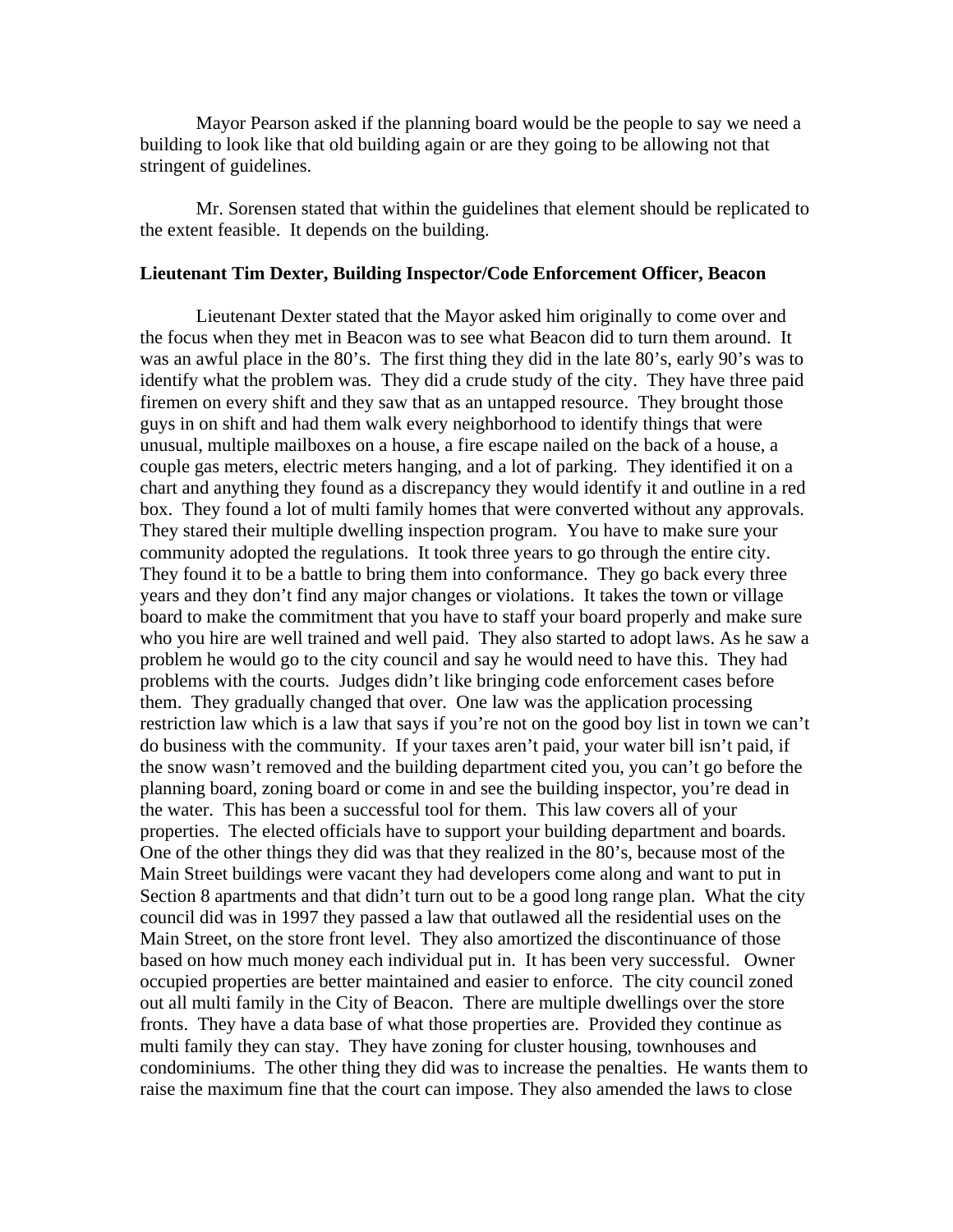Mayor Pearson asked if the planning board would be the people to say we need a building to look like that old building again or are they going to be allowing not that stringent of guidelines.

 Mr. Sorensen stated that within the guidelines that element should be replicated to the extent feasible. It depends on the building.

## **Lieutenant Tim Dexter, Building Inspector/Code Enforcement Officer, Beacon**

Lieutenant Dexter stated that the Mayor asked him originally to come over and the focus when they met in Beacon was to see what Beacon did to turn them around. It was an awful place in the 80's. The first thing they did in the late 80's, early 90's was to identify what the problem was. They did a crude study of the city. They have three paid firemen on every shift and they saw that as an untapped resource. They brought those guys in on shift and had them walk every neighborhood to identify things that were unusual, multiple mailboxes on a house, a fire escape nailed on the back of a house, a couple gas meters, electric meters hanging, and a lot of parking. They identified it on a chart and anything they found as a discrepancy they would identify it and outline in a red box. They found a lot of multi family homes that were converted without any approvals. They stared their multiple dwelling inspection program. You have to make sure your community adopted the regulations. It took three years to go through the entire city. They found it to be a battle to bring them into conformance. They go back every three years and they don't find any major changes or violations. It takes the town or village board to make the commitment that you have to staff your board properly and make sure who you hire are well trained and well paid. They also started to adopt laws. As he saw a problem he would go to the city council and say he would need to have this. They had problems with the courts. Judges didn't like bringing code enforcement cases before them. They gradually changed that over. One law was the application processing restriction law which is a law that says if you're not on the good boy list in town we can't do business with the community. If your taxes aren't paid, your water bill isn't paid, if the snow wasn't removed and the building department cited you, you can't go before the planning board, zoning board or come in and see the building inspector, you're dead in the water. This has been a successful tool for them. This law covers all of your properties. The elected officials have to support your building department and boards. One of the other things they did was that they realized in the 80's, because most of the Main Street buildings were vacant they had developers come along and want to put in Section 8 apartments and that didn't turn out to be a good long range plan. What the city council did was in 1997 they passed a law that outlawed all the residential uses on the Main Street, on the store front level. They also amortized the discontinuance of those based on how much money each individual put in. It has been very successful. Owner occupied properties are better maintained and easier to enforce. The city council zoned out all multi family in the City of Beacon. There are multiple dwellings over the store fronts. They have a data base of what those properties are. Provided they continue as multi family they can stay. They have zoning for cluster housing, townhouses and condominiums. The other thing they did was to increase the penalties. He wants them to raise the maximum fine that the court can impose. They also amended the laws to close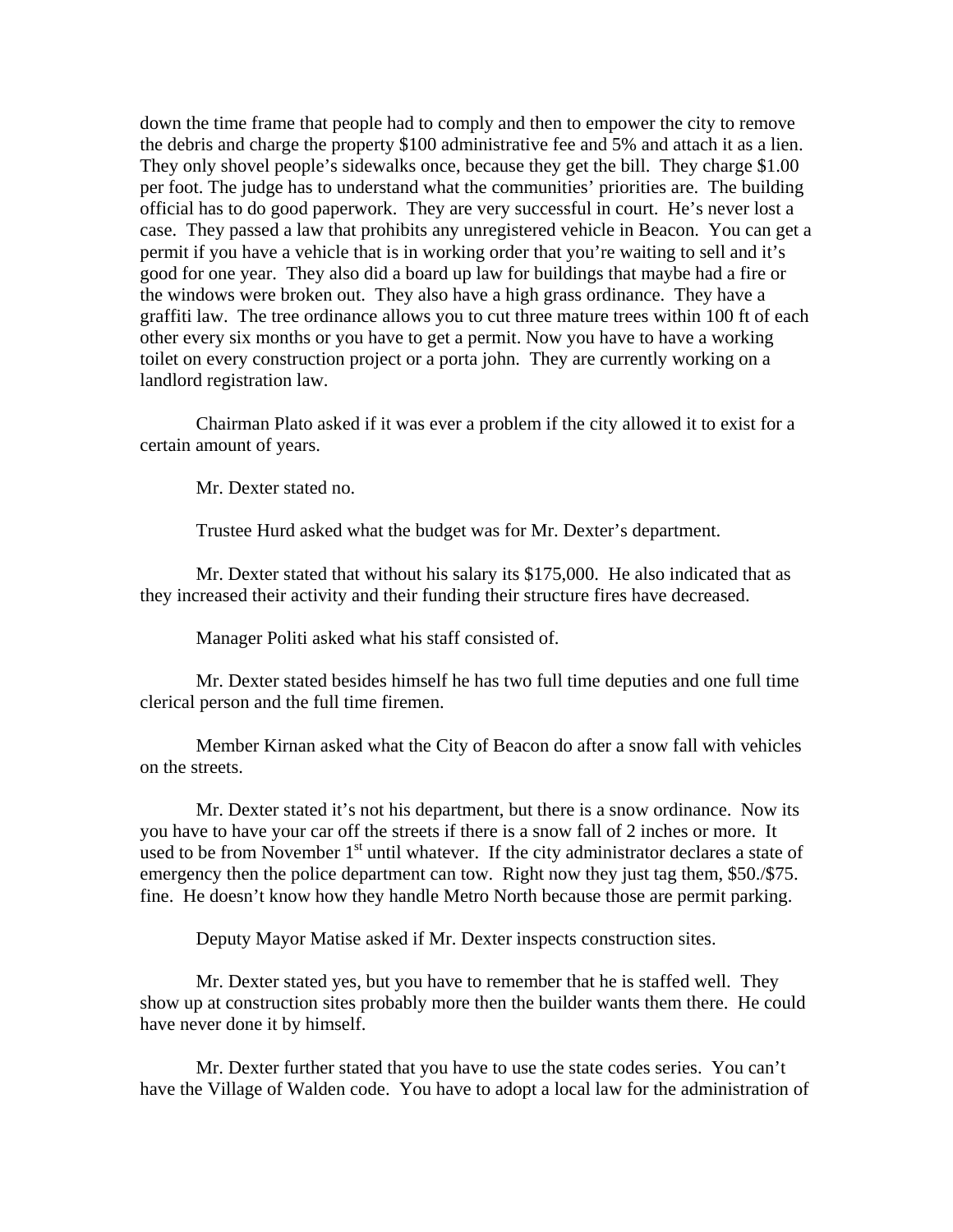down the time frame that people had to comply and then to empower the city to remove the debris and charge the property \$100 administrative fee and 5% and attach it as a lien. They only shovel people's sidewalks once, because they get the bill. They charge \$1.00 per foot. The judge has to understand what the communities' priorities are. The building official has to do good paperwork. They are very successful in court. He's never lost a case. They passed a law that prohibits any unregistered vehicle in Beacon. You can get a permit if you have a vehicle that is in working order that you're waiting to sell and it's good for one year. They also did a board up law for buildings that maybe had a fire or the windows were broken out. They also have a high grass ordinance. They have a graffiti law. The tree ordinance allows you to cut three mature trees within 100 ft of each other every six months or you have to get a permit. Now you have to have a working toilet on every construction project or a porta john. They are currently working on a landlord registration law.

 Chairman Plato asked if it was ever a problem if the city allowed it to exist for a certain amount of years.

Mr. Dexter stated no.

Trustee Hurd asked what the budget was for Mr. Dexter's department.

 Mr. Dexter stated that without his salary its \$175,000. He also indicated that as they increased their activity and their funding their structure fires have decreased.

Manager Politi asked what his staff consisted of.

 Mr. Dexter stated besides himself he has two full time deputies and one full time clerical person and the full time firemen.

 Member Kirnan asked what the City of Beacon do after a snow fall with vehicles on the streets.

 Mr. Dexter stated it's not his department, but there is a snow ordinance. Now its you have to have your car off the streets if there is a snow fall of 2 inches or more. It used to be from November  $1<sup>st</sup>$  until whatever. If the city administrator declares a state of emergency then the police department can tow. Right now they just tag them, \$50./\$75. fine. He doesn't know how they handle Metro North because those are permit parking.

Deputy Mayor Matise asked if Mr. Dexter inspects construction sites.

 Mr. Dexter stated yes, but you have to remember that he is staffed well. They show up at construction sites probably more then the builder wants them there. He could have never done it by himself.

 Mr. Dexter further stated that you have to use the state codes series. You can't have the Village of Walden code. You have to adopt a local law for the administration of